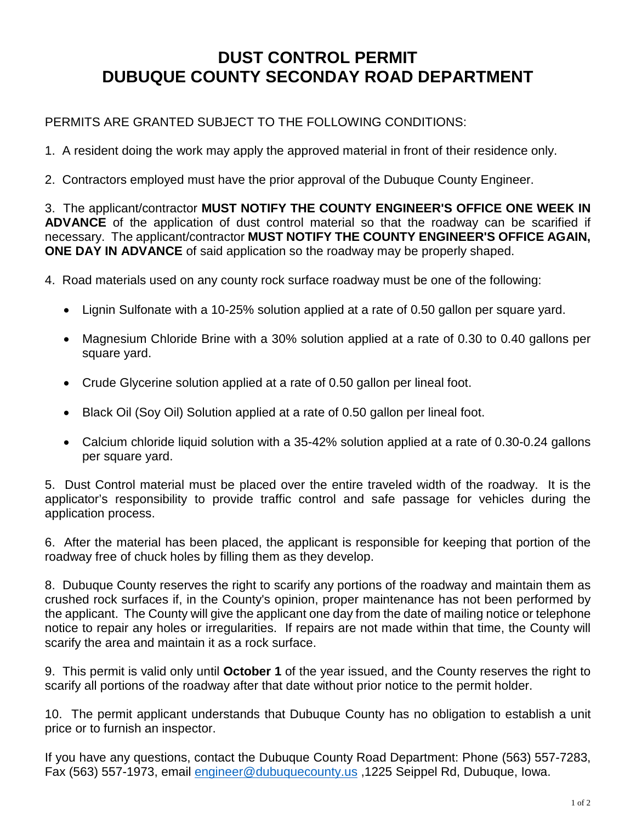## **DUST CONTROL PERMIT DUBUQUE COUNTY SECONDAY ROAD DEPARTMENT**

## PERMITS ARE GRANTED SUBJECT TO THE FOLLOWING CONDITIONS:

- 1. A resident doing the work may apply the approved material in front of their residence only.
- 2. Contractors employed must have the prior approval of the Dubuque County Engineer.

3. The applicant/contractor **MUST NOTIFY THE COUNTY ENGINEER'S OFFICE ONE WEEK IN ADVANCE** of the application of dust control material so that the roadway can be scarified if necessary. The applicant/contractor **MUST NOTIFY THE COUNTY ENGINEER'S OFFICE AGAIN, ONE DAY IN ADVANCE** of said application so the roadway may be properly shaped.

4. Road materials used on any county rock surface roadway must be one of the following:

- Lignin Sulfonate with a 10-25% solution applied at a rate of 0.50 gallon per square yard.
- Magnesium Chloride Brine with a 30% solution applied at a rate of 0.30 to 0.40 gallons per square yard.
- Crude Glycerine solution applied at a rate of 0.50 gallon per lineal foot.
- Black Oil (Soy Oil) Solution applied at a rate of 0.50 gallon per lineal foot.
- Calcium chloride liquid solution with a 35-42% solution applied at a rate of 0.30-0.24 gallons per square yard.

5. Dust Control material must be placed over the entire traveled width of the roadway. It is the applicator's responsibility to provide traffic control and safe passage for vehicles during the application process.

6. After the material has been placed, the applicant is responsible for keeping that portion of the roadway free of chuck holes by filling them as they develop.

8. Dubuque County reserves the right to scarify any portions of the roadway and maintain them as crushed rock surfaces if, in the County's opinion, proper maintenance has not been performed by the applicant. The County will give the applicant one day from the date of mailing notice or telephone notice to repair any holes or irregularities. If repairs are not made within that time, the County will scarify the area and maintain it as a rock surface.

9. This permit is valid only until **October 1** of the year issued, and the County reserves the right to scarify all portions of the roadway after that date without prior notice to the permit holder.

10. The permit applicant understands that Dubuque County has no obligation to establish a unit price or to furnish an inspector.

If you have any questions, contact the Dubuque County Road Department: Phone (563) 557-7283, Fax (563) 557-1973, email [engineer@dubuquecounty.us](mailto:engineer@dubuquecounty.us) ,1225 Seippel Rd, Dubuque, Iowa.